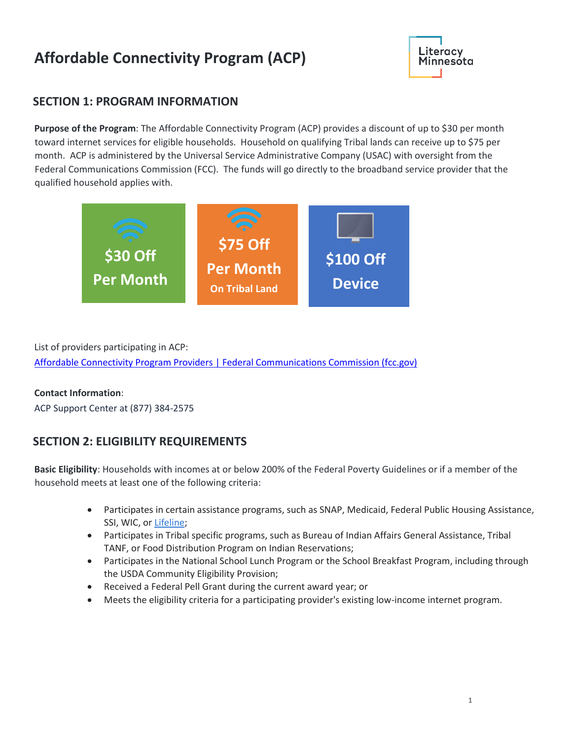# **Affordable Connectivity Program (ACP)**



### **SECTION 1: PROGRAM INFORMATION**

**Purpose of the Program**: The Affordable Connectivity Program (ACP) provides a discount of up to \$30 per month toward internet services for eligible households. Household on qualifying Tribal lands can receive up to \$75 per month. ACP is administered by the Universal Service Administrative Company (USAC) with oversight from the Federal Communications Commission (FCC). The funds will go directly to the broadband service provider that the qualified household applies with.



List of providers participating in ACP:

[Affordable Connectivity Program Providers | Federal Communications Commission \(fcc.gov\)](https://www.fcc.gov/affordable-connectivity-program-providers)

### **Contact Information**:

ACP Support Center at (877) 384-2575

### **SECTION 2: ELIGIBILITY REQUIREMENTS**

**Basic Eligibility**: Households with incomes at or below 200% of the Federal Poverty Guidelines or if a member of the household meets at least one of the following criteria:

- Participates in certain assistance programs, such as SNAP, Medicaid, Federal Public Housing Assistance, SSI, WIC, or [Lifeline;](https://www.fcc.gov/lifeline-consumers)
- Participates in Tribal specific programs, such as Bureau of Indian Affairs General Assistance, Tribal TANF, or Food Distribution Program on Indian Reservations;
- Participates in the National School Lunch Program or the School Breakfast Program, including through the USDA Community Eligibility Provision;
- Received a Federal Pell Grant during the current award year; or
- Meets the eligibility criteria for a participating provider's existing low-income internet program.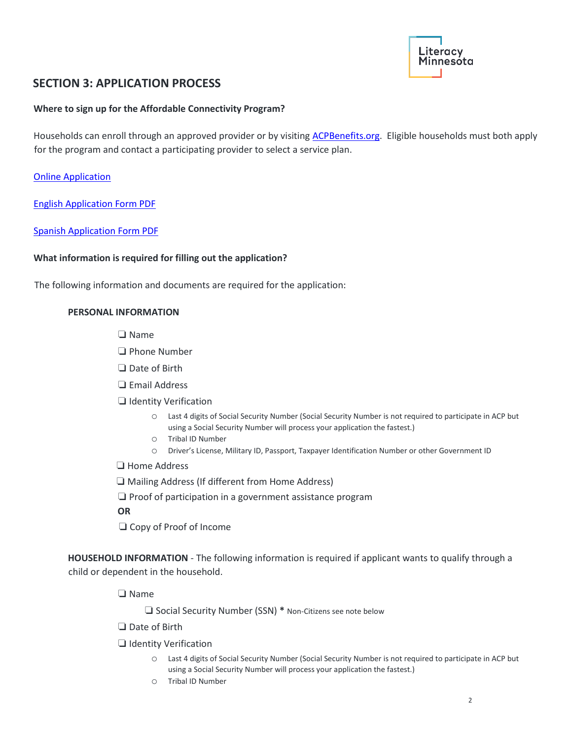

### **SECTION 3: APPLICATION PROCESS**

#### **Where to sign up for the Affordable Connectivity Program?**

Households can enroll through an approved provider or by visiting [ACPBenefits.org.](https://acpbenefit.org/) Eligible households must both apply for the program and contact a participating provider to select a service plan.

[Online Application](https://nv.fcc.gov/lifeline/?id=nv_flow&ebbp=true)

[English Application Form PDF](https://acpbenefit.org/wp-content/uploads/ACP-Application-Form-English.pdf)

[Spanish Application Form PDF](https://acpbenefit.org/wp-content/uploads/lifeline/images/ACP-Household-Worksheet-Spanish.pdf)

#### **What information is required for filling out the application?**

The following information and documents are required for the application:

#### **PERSONAL INFORMATION**

❏ Name

❏ Phone Number

❏ Date of Birth

❏ Email Address

❏ Identity Verification

- o Last 4 digits of Social Security Number (Social Security Number is not required to participate in ACP but using a Social Security Number will process your application the fastest.)
- o Tribal ID Number
- o Driver's License, Military ID, Passport, Taxpayer Identification Number or other Government ID

❏ Home Address

❏ Mailing Address (If different from Home Address)

❏ Proof of participation in a government assistance program

**OR**

❏ Copy of Proof of Income

**HOUSEHOLD INFORMATION** - The following information is required if applicant wants to qualify through a child or dependent in the household.

❏ Name

❏ Social Security Number (SSN) **\*** Non-Citizens see note below

❏ Date of Birth

❏ Identity Verification

- o Last 4 digits of Social Security Number (Social Security Number is not required to participate in ACP but using a Social Security Number will process your application the fastest.)
- o Tribal ID Number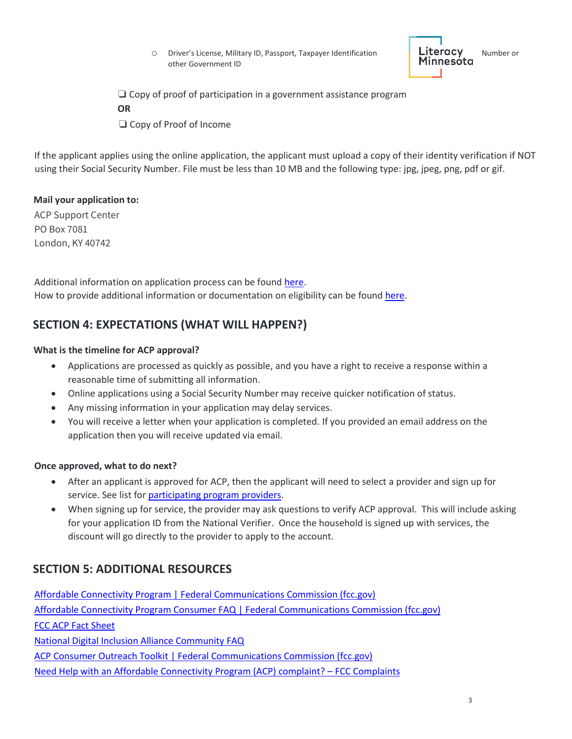O Driver's License, Military ID, Passport, Taxpayer Identification **Literacy** Number or<br> **Minnesota** Minnesota other Government ID

❏ Copy of proof of participation in a government assistance program **OR**

❏ Copy of Proof of Income

If the applicant applies using the online application, the applicant must upload a copy of their identity verification if NOT using their Social Security Number. File must be less than 10 MB and the following type: jpg, jpeg, png, pdf or gif.

#### **Mail your application to:**

ACP Support Center PO Box 7081 London, KY 40742

Additional information on application process can be found [here.](https://acpbenefit.org/wp-content/uploads/ACP-Application-Instructions.pdf) How to provide additional information or documentation on eligibility can be found [here.](https://acpbenefit.org/how-to-apply/show-you-qualify/)

### **SECTION 4: EXPECTATIONS (WHAT WILL HAPPEN?)**

#### **What is the timeline for ACP approval?**

- Applications are processed as quickly as possible, and you have a right to receive a response within a reasonable time of submitting all information.
- Online applications using a Social Security Number may receive quicker notification of status.
- Any missing information in your application may delay services.
- You will receive a letter when your application is completed. If you provided an email address on the application then you will receive updated via email.

#### **Once approved, what to do next?**

- After an applicant is approved for ACP, then the applicant will need to select a provider and sign up for service. See list fo[r participating program providers.](Affordable%20Connectivity%20Program%20Providers%20|%20Federal%20Communications%20Commission%20(fcc.gov))
- When signing up for service, the provider may ask questions to verify ACP approval. This will include asking for your application ID from the National Verifier. Once the household is signed up with services, the discount will go directly to the provider to apply to the account.

### **SECTION 5: ADDITIONAL RESOURCES**

[Affordable Connectivity Program | Federal Communications Commission \(fcc.gov\)](https://www.fcc.gov/acp) [Affordable Connectivity Program Consumer FAQ | Federal Communications Commission \(fcc.gov\)](https://www.fcc.gov/affordable-connectivity-program-consumer-faq) [FCC ACP Fact Sheet](https://www.fcc.gov/sites/default/files/acp-fact-sheet.pdf) [National Digital Inclusion Alliance Community FAQ](https://www.digitalinclusion.org/policy/affordable-connectivity-program/) [ACP Consumer Outreach Toolkit | Federal Communications Commission \(fcc.gov\)](https://www.fcc.gov/acp-consumer-outreach-toolkit) [Need Help with an Affordable Connectivity Program \(ACP\) complaint?](https://consumercomplaints.fcc.gov/hc/en-us/articles/4412582232980-Need-Help-with-an-Affordable-Connectivity-Program-ACP-or-Emergency-Broadband-Benefit-EBB-complaint-) – FCC Complaints